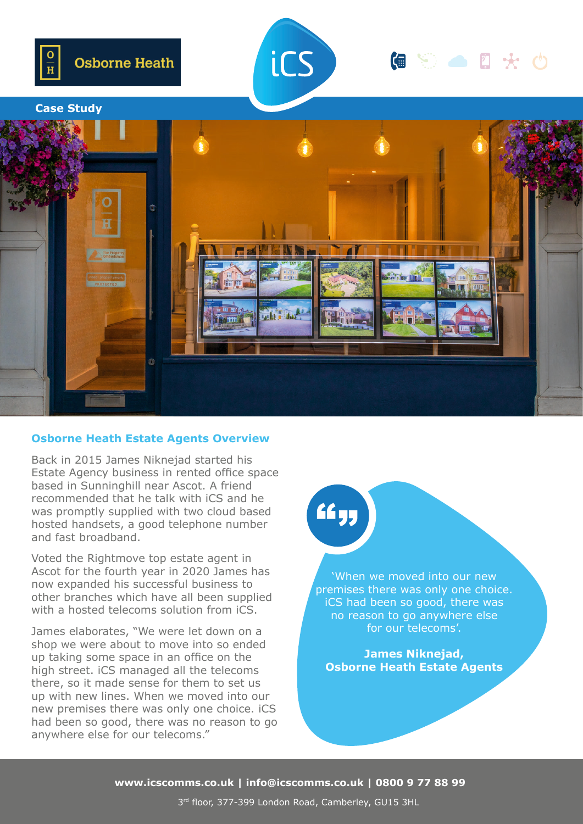



## **● ⑤ ● 0 ★ 0**

#### **Case Study**



#### **Osborne Heath Estate Agents Overview**

Back in 2015 James Niknejad started his Estate Agency business in rented office space based in Sunninghill near Ascot. A friend recommended that he talk with iCS and he was promptly supplied with two cloud based hosted handsets, a good telephone number and fast broadband.

Voted the Rightmove top estate agent in Ascot for the fourth year in 2020 James has now expanded his successful business to other branches which have all been supplied with a hosted telecoms solution from iCS.

James elaborates, "We were let down on a shop we were about to move into so ended up taking some space in an office on the high street. iCS managed all the telecoms there, so it made sense for them to set us up with new lines. When we moved into our new premises there was only one choice. iCS had been so good, there was no reason to go anywhere else for our telecoms."

# **"**

'When we moved into our new premises there was only one choice. iCS had been so good, there was no reason to go anywhere else for our telecoms'.

**James Niknejad, Osborne Heath Estate Agents**

**www.icscomms.co.uk | info@icscomms.co.uk | 0800 9 77 88 99**